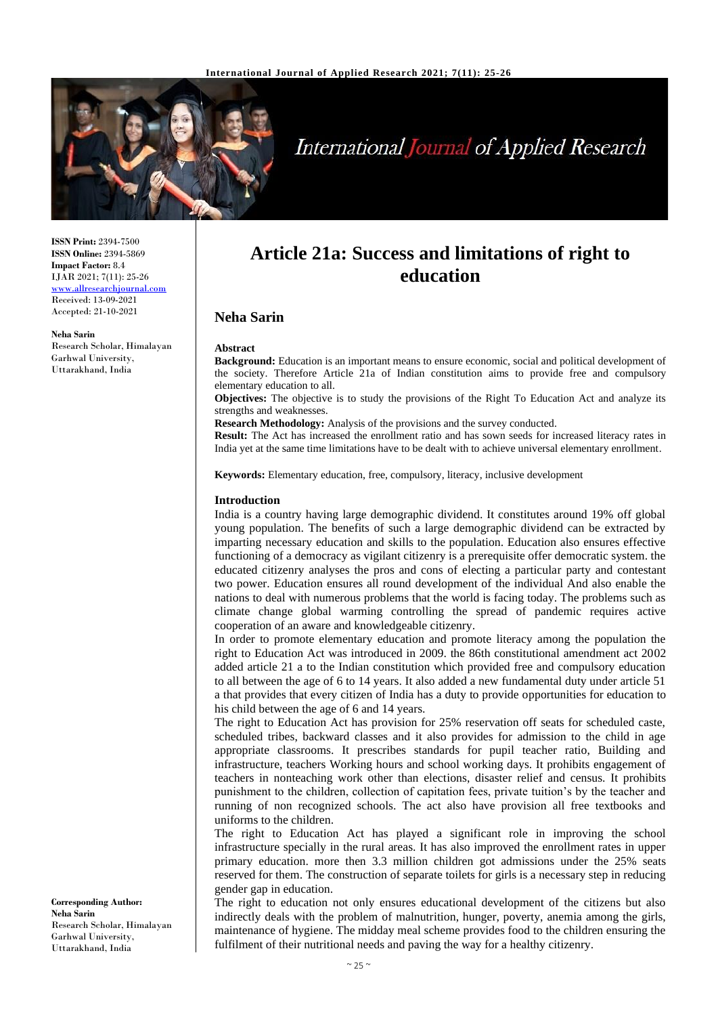

# **International Journal of Applied Research**

**ISSN Print:** 2394-7500 **ISSN Online:** 2394-5869 **Impact Factor:** 8.4 IJAR 2021; 7(11): 25-26 [www.allresearchjournal.com](http://www.allresearchjournal.com/) Received: 13-09-2021 Accepted: 21-10-2021

**Neha Sarin** Research Scholar, Himalayan Garhwal University, Uttarakhand, India

## **Article 21a: Success and limitations of right to education**

### **Neha Sarin**

#### **Abstract**

**Background:** Education is an important means to ensure economic, social and political development of the society. Therefore Article 21a of Indian constitution aims to provide free and compulsory elementary education to all.

**Objectives:** The objective is to study the provisions of the Right To Education Act and analyze its strengths and weaknesses.

**Research Methodology:** Analysis of the provisions and the survey conducted.

**Result:** The Act has increased the enrollment ratio and has sown seeds for increased literacy rates in India yet at the same time limitations have to be dealt with to achieve universal elementary enrollment.

**Keywords:** Elementary education, free, compulsory, literacy, inclusive development

#### **Introduction**

India is a country having large demographic dividend. It constitutes around 19% off global young population. The benefits of such a large demographic dividend can be extracted by imparting necessary education and skills to the population. Education also ensures effective functioning of a democracy as vigilant citizenry is a prerequisite offer democratic system. the educated citizenry analyses the pros and cons of electing a particular party and contestant two power. Education ensures all round development of the individual And also enable the nations to deal with numerous problems that the world is facing today. The problems such as climate change global warming controlling the spread of pandemic requires active cooperation of an aware and knowledgeable citizenry.

In order to promote elementary education and promote literacy among the population the right to Education Act was introduced in 2009. the 86th constitutional amendment act 2002 added article 21 a to the Indian constitution which provided free and compulsory education to all between the age of 6 to 14 years. It also added a new fundamental duty under article 51 a that provides that every citizen of India has a duty to provide opportunities for education to his child between the age of 6 and 14 years.

The right to Education Act has provision for 25% reservation off seats for scheduled caste, scheduled tribes, backward classes and it also provides for admission to the child in age appropriate classrooms. It prescribes standards for pupil teacher ratio, Building and infrastructure, teachers Working hours and school working days. It prohibits engagement of teachers in nonteaching work other than elections, disaster relief and census. It prohibits punishment to the children, collection of capitation fees, private tuition's by the teacher and running of non recognized schools. The act also have provision all free textbooks and uniforms to the children.

The right to Education Act has played a significant role in improving the school infrastructure specially in the rural areas. It has also improved the enrollment rates in upper primary education. more then 3.3 million children got admissions under the 25% seats reserved for them. The construction of separate toilets for girls is a necessary step in reducing gender gap in education.

The right to education not only ensures educational development of the citizens but also indirectly deals with the problem of malnutrition, hunger, poverty, anemia among the girls, maintenance of hygiene. The midday meal scheme provides food to the children ensuring the fulfilment of their nutritional needs and paving the way for a healthy citizenry.

**Corresponding Author: Neha Sarin** Research Scholar, Himalayan Garhwal University, Uttarakhand, India